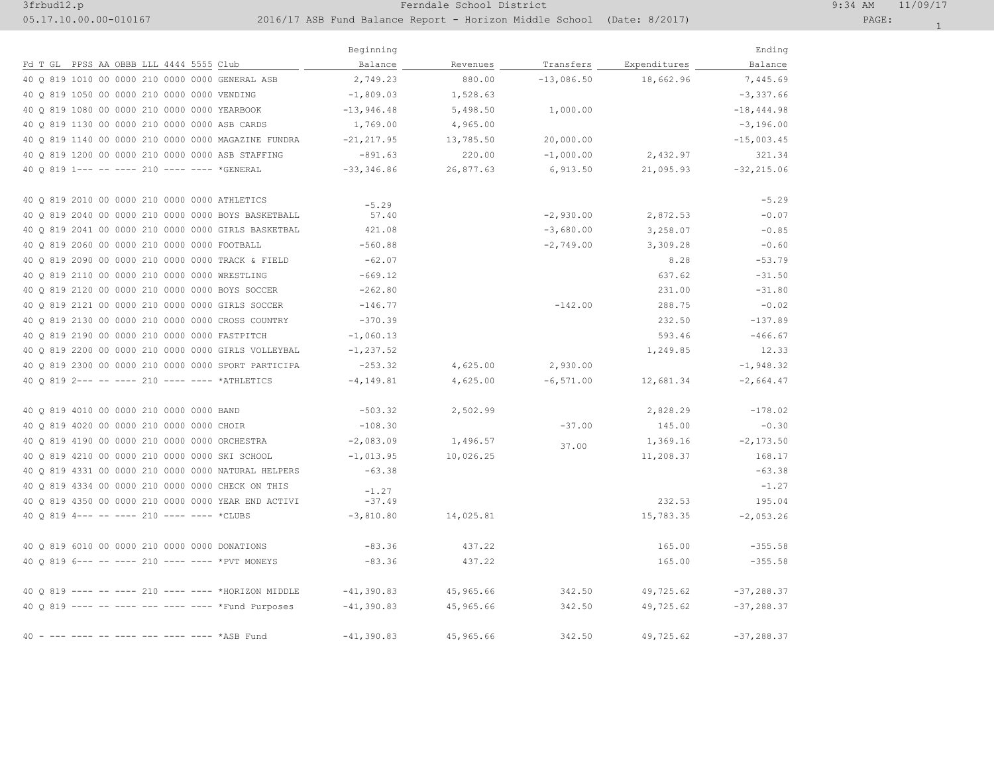## 3frbud12.p Ferndale School District 9:34 AM 11/09/17

## 05.17.10.00.00-010167 2016/17 ASB Fund Balance Report - Horizon Middle School (Date: 8/2017) PAGE:

|                                                     | Beginning     |           |              |              | Ending         |
|-----------------------------------------------------|---------------|-----------|--------------|--------------|----------------|
| Fd T GL PPSS AA OBBB LLL 4444 5555 Club             | Balance       | Revenues  | Transfers    | Expenditures | Balance        |
| 40 0 819 1010 00 0000 210 0000 0000 GENERAL ASB     | 2,749.23      | 880.00    | $-13,086.50$ | 18,662.96    | 7,445.69       |
| 40 0 819 1050 00 0000 210 0000 0000 VENDING         | $-1,809.03$   | 1,528.63  |              |              | $-3,337.66$    |
| 40 0 819 1080 00 0000 210 0000 0000 YEARBOOK        | $-13,946.48$  | 5,498.50  | 1,000.00     |              | $-18, 444.98$  |
| 40 Q 819 1130 00 0000 210 0000 0000 ASB CARDS       | 1,769.00      | 4,965.00  |              |              | $-3,196.00$    |
| 40 0 819 1140 00 0000 210 0000 0000 MAGAZINE FUNDRA | $-21, 217.95$ | 13,785.50 | 20,000.00    |              | $-15,003.45$   |
| 40 0 819 1200 00 0000 210 0000 0000 ASB STAFFING    | $-891.63$     | 220.00    | $-1,000.00$  | 2,432.97     | 321.34         |
| 40 0 819 1--- -- ---- 210 ---- ---- *GENERAL        | $-33, 346.86$ | 26,877.63 | 6,913.50     | 21,095.93    | $-32, 215.06$  |
| 40 0 819 2010 00 0000 210 0000 0000 ATHLETICS       | $-5.29$       |           |              |              | $-5.29$        |
| 40 0 819 2040 00 0000 210 0000 0000 BOYS BASKETBALL | 57.40         |           | $-2,930.00$  | 2,872.53     | $-0.07$        |
| 40 Q 819 2041 00 0000 210 0000 0000 GIRLS BASKETBAL | 421.08        |           | $-3,680.00$  | 3,258.07     | $-0.85$        |
| 40 Q 819 2060 00 0000 210 0000 0000 FOOTBALL        | $-560.88$     |           | $-2,749.00$  | 3,309.28     | $-0.60$        |
| 40 0 819 2090 00 0000 210 0000 0000 TRACK & FIELD   | $-62.07$      |           |              | 8.28         | $-53.79$       |
| 40 Q 819 2110 00 0000 210 0000 0000 WRESTLING       | $-669.12$     |           |              | 637.62       | $-31.50$       |
| 40 Q 819 2120 00 0000 210 0000 0000 BOYS SOCCER     | $-262.80$     |           |              | 231.00       | $-31.80$       |
| 40 0 819 2121 00 0000 210 0000 0000 GIRLS SOCCER    | $-146.77$     |           | $-142.00$    | 288.75       | $-0.02$        |
| 40 0 819 2130 00 0000 210 0000 0000 CROSS COUNTRY   | $-370.39$     |           |              | 232.50       | $-137.89$      |
| 40 Q 819 2190 00 0000 210 0000 0000 FASTPITCH       | $-1,060.13$   |           |              | 593.46       | $-466.67$      |
| 40 0 819 2200 00 0000 210 0000 0000 GIRLS VOLLEYBAL | $-1, 237.52$  |           |              | 1,249.85     | 12.33          |
| 40 0 819 2300 00 0000 210 0000 0000 SPORT PARTICIPA | $-253.32$     | 4,625.00  | 2,930.00     |              | $-1,948.32$    |
| 40 0 819 2--- -- ---- 210 ---- ---- *ATHLETICS      | $-4, 149.81$  | 4,625.00  | $-6, 571.00$ | 12,681.34    | $-2,664.47$    |
| 40 0 819 4010 00 0000 210 0000 0000 BAND            | $-503.32$     | 2,502.99  |              | 2,828.29     | $-178.02$      |
| 40 0 819 4020 00 0000 210 0000 0000 CHOIR           | $-108.30$     |           | $-37.00$     | 145.00       | $-0.30$        |
| 40 Q 819 4190 00 0000 210 0000 0000 ORCHESTRA       | $-2,083.09$   | 1,496.57  | 37.00        | 1,369.16     | $-2, 173.50$   |
| 40 Q 819 4210 00 0000 210 0000 0000 SKI SCHOOL      | $-1,013.95$   | 10,026.25 |              | 11,208.37    | 168.17         |
| 40 Q 819 4331 00 0000 210 0000 0000 NATURAL HELPERS | $-63.38$      |           |              |              | $-63.38$       |
| 40 0 819 4334 00 0000 210 0000 0000 CHECK ON THIS   | $-1.27$       |           |              |              | $-1.27$        |
| 40 Q 819 4350 00 0000 210 0000 0000 YEAR END ACTIVI | $-37.49$      |           |              | 232.53       | 195.04         |
| 40 0 819 4--- -- ---- 210 ---- ---- *CLUBS          | $-3,810.80$   | 14,025.81 |              | 15,783.35    | $-2,053.26$    |
| 40 Q 819 6010 00 0000 210 0000 0000 DONATIONS       | $-83.36$      | 437.22    |              | 165.00       | $-355.58$      |
| 40 0 819 6--- -- ---- 210 ---- ---- *PVT MONEYS     | $-83.36$      | 437.22    |              | 165.00       | $-355.58$      |
| 40 0 819 ---- -- ---- 210 ---- ---- *HORIZON MIDDLE | $-41, 390.83$ | 45,965.66 | 342.50       | 49,725.62    | $-37, 288, 37$ |
| 40 Q 819 ---- -- ---- --- ---- ---- *Fund Purposes  | $-41, 390.83$ | 45,965.66 | 342.50       | 49,725.62    | $-37, 288.37$  |
| $40 -$<br>$--- --- --- *ASB$ Fund                   | $-41, 390.83$ | 45,965.66 | 342.50       | 49,725.62    | $-37, 288, 37$ |